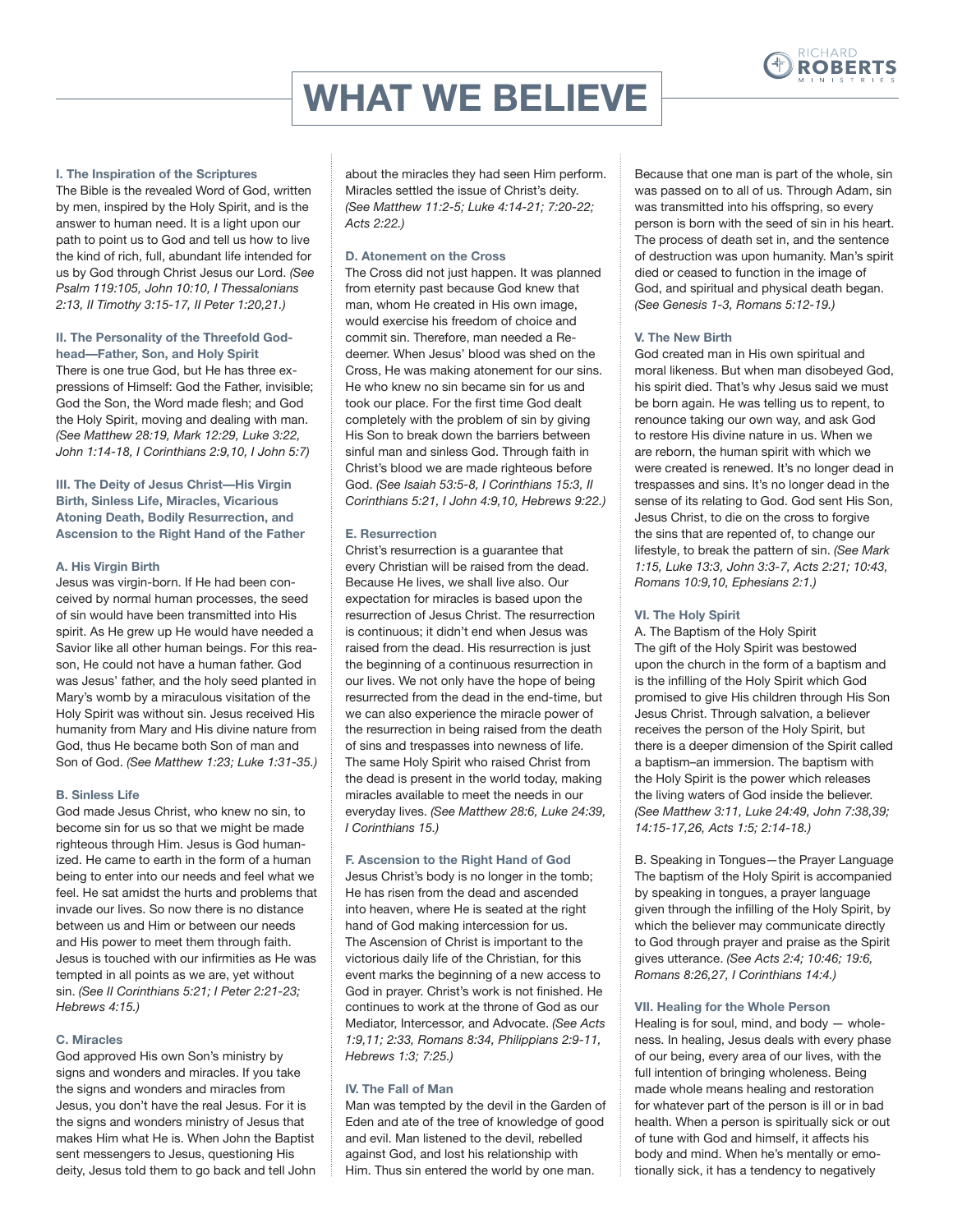

# **WHAT WE BELIEVE**

#### **I. The Inspiration of the Scriptures**

The Bible is the revealed Word of God, written by men, inspired by the Holy Spirit, and is the answer to human need. It is a light upon our path to point us to God and tell us how to live the kind of rich, full, abundant life intended for us by God through Christ Jesus our Lord. *(See Psalm 119:105, John 10:10, I Thessalonians 2:13, II Timothy 3:15-17, II Peter 1:20,21.)*

## **II. The Personality of the Threefold Godhead—Father, Son, and Holy Spirit**

There is one true God, but He has three expressions of Himself: God the Father, invisible; God the Son, the Word made flesh; and God the Holy Spirit, moving and dealing with man. *(See Matthew 28:19, Mark 12:29, Luke 3:22, John 1:14-18, I Corinthians 2:9,10, I John 5:7)*

**III. The Deity of Jesus Christ—His Virgin Birth, Sinless Life, Miracles, Vicarious Atoning Death, Bodily Resurrection, and Ascension to the Right Hand of the Father**

## **A. His Virgin Birth**

Jesus was virgin-born. If He had been conceived by normal human processes, the seed of sin would have been transmitted into His spirit. As He grew up He would have needed a Savior like all other human beings. For this reason, He could not have a human father. God was Jesus' father, and the holy seed planted in Mary's womb by a miraculous visitation of the Holy Spirit was without sin. Jesus received His humanity from Mary and His divine nature from God, thus He became both Son of man and Son of God. *(See Matthew 1:23; Luke 1:31-35.)*

# **B. Sinless Life**

God made Jesus Christ, who knew no sin, to become sin for us so that we might be made righteous through Him. Jesus is God humanized. He came to earth in the form of a human being to enter into our needs and feel what we feel. He sat amidst the hurts and problems that invade our lives. So now there is no distance between us and Him or between our needs and His power to meet them through faith. Jesus is touched with our infirmities as He was tempted in all points as we are, yet without sin. *(See II Corinthians 5:21; I Peter 2:21-23; Hebrews 4:15.)*

## **C. Miracles**

God approved His own Son's ministry by signs and wonders and miracles. If you take the signs and wonders and miracles from Jesus, you don't have the real Jesus. For it is the signs and wonders ministry of Jesus that makes Him what He is. When John the Baptist sent messengers to Jesus, questioning His deity, Jesus told them to go back and tell John

about the miracles they had seen Him perform. Miracles settled the issue of Christ's deity. *(See Matthew 11:2-5; Luke 4:14-21; 7:20-22; Acts 2:22.)*

# **D. Atonement on the Cross**

The Cross did not just happen. It was planned from eternity past because God knew that man, whom He created in His own image, would exercise his freedom of choice and commit sin. Therefore, man needed a Redeemer. When Jesus' blood was shed on the Cross, He was making atonement for our sins. He who knew no sin became sin for us and took our place. For the first time God dealt completely with the problem of sin by giving His Son to break down the barriers between sinful man and sinless God. Through faith in Christ's blood we are made righteous before God. *(See Isaiah 53:5-8, I Corinthians 15:3, II Corinthians 5:21, I John 4:9,10, Hebrews 9:22.)*

## **E. Resurrection**

Christ's resurrection is a guarantee that every Christian will be raised from the dead. Because He lives, we shall live also. Our expectation for miracles is based upon the resurrection of Jesus Christ. The resurrection is continuous; it didn't end when Jesus was raised from the dead. His resurrection is just the beginning of a continuous resurrection in our lives. We not only have the hope of being resurrected from the dead in the end-time, but we can also experience the miracle power of the resurrection in being raised from the death of sins and trespasses into newness of life. The same Holy Spirit who raised Christ from the dead is present in the world today, making miracles available to meet the needs in our everyday lives. *(See Matthew 28:6, Luke 24:39, I Corinthians 15.)*

## **F. Ascension to the Right Hand of God**

Jesus Christ's body is no longer in the tomb; He has risen from the dead and ascended into heaven, where He is seated at the right hand of God making intercession for us. The Ascension of Christ is important to the victorious daily life of the Christian, for this event marks the beginning of a new access to God in prayer. Christ's work is not finished. He continues to work at the throne of God as our Mediator, Intercessor, and Advocate. *(See Acts 1:9,11; 2:33, Romans 8:34, Philippians 2:9-11, Hebrews 1:3; 7:25.)*

## **IV. The Fall of Man**

Man was tempted by the devil in the Garden of Eden and ate of the tree of knowledge of good and evil. Man listened to the devil, rebelled against God, and lost his relationship with Him. Thus sin entered the world by one man.

Because that one man is part of the whole, sin was passed on to all of us. Through Adam, sin was transmitted into his offspring, so every person is born with the seed of sin in his heart. The process of death set in, and the sentence of destruction was upon humanity. Man's spirit died or ceased to function in the image of God, and spiritual and physical death began. *(See Genesis 1-3, Romans 5:12-19.)*

# **V. The New Birth**

God created man in His own spiritual and moral likeness. But when man disobeyed God, his spirit died. That's why Jesus said we must be born again. He was telling us to repent, to renounce taking our own way, and ask God to restore His divine nature in us. When we are reborn, the human spirit with which we were created is renewed. It's no longer dead in trespasses and sins. It's no longer dead in the sense of its relating to God. God sent His Son, Jesus Christ, to die on the cross to forgive the sins that are repented of, to change our lifestyle, to break the pattern of sin. *(See Mark 1:15, Luke 13:3, John 3:3-7, Acts 2:21; 10:43, Romans 10:9,10, Ephesians 2:1.)*

## **VI. The Holy Spirit**

A. The Baptism of the Holy Spirit The gift of the Holy Spirit was bestowed upon the church in the form of a baptism and is the infilling of the Holy Spirit which God promised to give His children through His Son Jesus Christ. Through salvation, a believer receives the person of the Holy Spirit, but there is a deeper dimension of the Spirit called a baptism–an immersion. The baptism with the Holy Spirit is the power which releases the living waters of God inside the believer. *(See Matthew 3:11, Luke 24:49, John 7:38,39; 14:15-17,26, Acts 1:5; 2:14-18.)*

B. Speaking in Tongues—the Prayer Language The baptism of the Holy Spirit is accompanied by speaking in tongues, a prayer language given through the infilling of the Holy Spirit, by which the believer may communicate directly to God through prayer and praise as the Spirit gives utterance. *(See Acts 2:4; 10:46; 19:6, Romans 8:26,27, I Corinthians 14:4.)*

## **VII. Healing for the Whole Person**

Healing is for soul, mind, and body — wholeness. In healing, Jesus deals with every phase of our being, every area of our lives, with the full intention of bringing wholeness. Being made whole means healing and restoration for whatever part of the person is ill or in bad health. When a person is spiritually sick or out of tune with God and himself, it affects his body and mind. When he's mentally or emotionally sick, it has a tendency to negatively